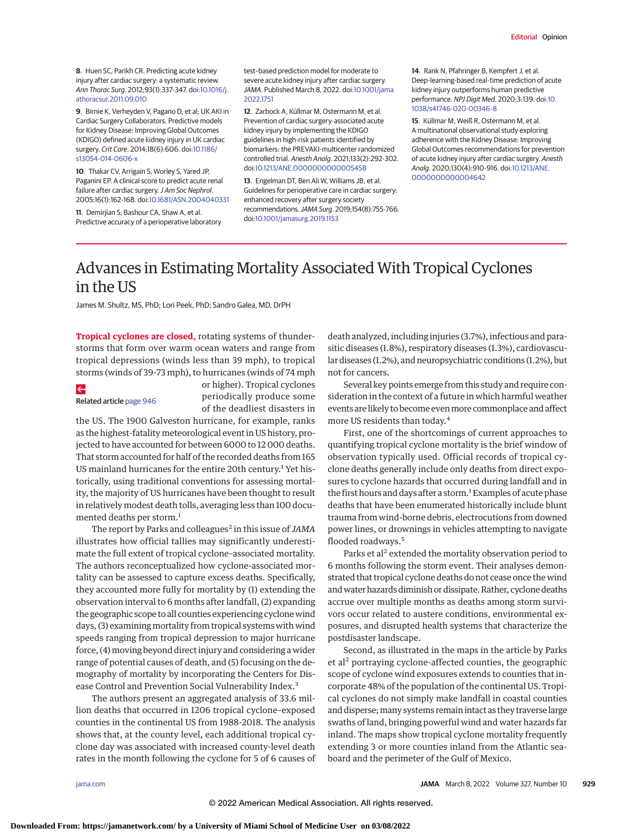**8**. Huen SC, Parikh CR. Predicting acute kidney injury after cardiac surgery: a systematic review. Ann Thorac Surg. 2012;93(1):337-347. doi[:10.1016/j.](https://dx.doi.org/10.1016/j.athoracsur.2011.09.010) [athoracsur.2011.09.010](https://dx.doi.org/10.1016/j.athoracsur.2011.09.010)

**9**. Birnie K, Verheyden V, Pagano D, et al; UK AKI in Cardiac Surgery Collaborators. Predictive models for Kidney Disease: Improving Global Outcomes (KDIGO) defined acute kidney injury in UK cardiac surgery. Crit Care. 2014;18(6):606. doi[:10.1186/](https://dx.doi.org/10.1186/s13054-014-0606-x) [s13054-014-0606-x](https://dx.doi.org/10.1186/s13054-014-0606-x)

**10**. Thakar CV, Arrigain S, Worley S, Yared JP, Paganini EP. A clinical score to predict acute renal failure after cardiac surgery. J Am Soc Nephrol. 2005;16(1):162-168. doi[:10.1681/ASN.2004040331](https://dx.doi.org/10.1681/ASN.2004040331)

**11**. Demirjian S, Bashour CA, Shaw A, et al. Predictive accuracy of a perioperative laboratory test–based prediction model for moderate to severe acute kidney injury after cardiac surgery. JAMA. Published March 8, 2022. doi[:10.1001/jama.](https://jamanetwork.com/journals/jama/fullarticle/10.1001/jama.2022.1751?utm_campaign=articlePDF%26utm_medium=articlePDFlink%26utm_source=articlePDF%26utm_content=jama.2022.1823) [2022.1751](https://jamanetwork.com/journals/jama/fullarticle/10.1001/jama.2022.1751?utm_campaign=articlePDF%26utm_medium=articlePDFlink%26utm_source=articlePDF%26utm_content=jama.2022.1823)

**12**. Zarbock A, Küllmar M, Ostermann M, et al. Prevention of cardiac surgery-associated acute kidney injury by implementing the KDIGO guidelines in high-risk patients identified by biomarkers: the PREVAKI-multicenter randomized controlled trial. Anesth Analg. 2021;133(2):292-302. doi[:10.1213/ANE.0000000000005458](https://dx.doi.org/10.1213/ANE.0000000000005458)

**13**. Engelman DT, Ben Ali W, Williams JB, et al. Guidelines for perioperative care in cardiac surgery: enhanced recovery after surgery society recommendations.JAMA Surg. 2019;154(8):755-766. doi[:10.1001/jamasurg.2019.1153](https://jamanetwork.com/journals/jama/fullarticle/10.1001/jamasurg.2019.1153?utm_campaign=articlePDF%26utm_medium=articlePDFlink%26utm_source=articlePDF%26utm_content=jama.2022.1823)

**14**. Rank N, Pfahringer B, Kempfert J, et al. Deep-learning-based real-time prediction of acute kidney injury outperforms human predictive performance. NPJ Digit Med. 2020;3:139. doi[:10.](https://dx.doi.org/10.1038/s41746-020-00346-8) [1038/s41746-020-00346-8](https://dx.doi.org/10.1038/s41746-020-00346-8)

**15**. Küllmar M, Weiß R, Ostermann M, et al. A multinational observational study exploring adherence with the Kidney Disease: Improving Global Outcomes recommendations for prevention of acute kidney injury after cardiac surgery. Anesth Analg. 2020;130(4):910-916. doi[:10.1213/ANE.](https://dx.doi.org/10.1213/ANE.0000000000004642) [0000000000004642](https://dx.doi.org/10.1213/ANE.0000000000004642)

# Advances in Estimating Mortality Associated With Tropical Cyclones in the US

James M. Shultz, MS, PhD; Lori Peek, PhD; Sandro Galea, MD, DrPH

**Tropical cyclones are closed,** rotating systems of thunderstorms that form over warm ocean waters and range from tropical depressions (winds less than 39 mph), to tropical storms (winds of 39-73 mph), to hurricanes (winds of 74 mph

## $\leftarrow$

Related article [page 946](https://jamanetwork.com/journals/jama/fullarticle/10.1001/jama.2022.1682?utm_campaign=articlePDF%26utm_medium=articlePDFlink%26utm_source=articlePDF%26utm_content=jama.2022.0069)

or higher). Tropical cyclones periodically produce some of the deadliest disasters in

the US. The 1900 Galveston hurricane, for example, ranks as the highest-fatality meteorological event in US history, projected to have accounted for between 6000 to 12 000 deaths. That storm accounted for half of the recorded deaths from 165 US mainland hurricanes for the entire 20th century.<sup>1</sup> Yet historically, using traditional conventions for assessing mortality, the majority of US hurricanes have been thought to result in relatively modest death tolls, averaging less than 100 documented deaths per storm.<sup>1</sup>

The report by Parks and colleagues<sup>2</sup> in this issue of *JAMA* illustrates how official tallies may significantly underestimate the full extent of tropical cyclone–associated mortality. The authors reconceptualized how cyclone-associated mortality can be assessed to capture excess deaths. Specifically, they accounted more fully for mortality by (1) extending the observation interval to 6 months after landfall, (2) expanding the geographic scope to all counties experiencing cyclone wind days, (3) examining mortality from tropical systems with wind speeds ranging from tropical depression to major hurricane force, (4) moving beyond direct injury and considering a wider range of potential causes of death, and (5) focusing on the demography of mortality by incorporating the Centers for Disease Control and Prevention Social Vulnerability Index.<sup>3</sup>

The authors present an aggregated analysis of 33.6 million deaths that occurred in 1206 tropical cyclone–exposed counties in the continental US from 1988-2018. The analysis shows that, at the county level, each additional tropical cyclone day was associated with increased county-level death rates in the month following the cyclone for 5 of 6 causes of death analyzed, including injuries (3.7%), infectious and parasitic diseases (1.8%), respiratory diseases (1.3%), cardiovascular diseases (1.2%), and neuropsychiatric conditions (1.2%), but not for cancers.

Several key points emerge from this study and require consideration in the context of a future in which harmful weather events are likely to become even more commonplace and affect more US residents than today.4

First, one of the shortcomings of current approaches to quantifying tropical cyclone mortality is the brief window of observation typically used. Official records of tropical cyclone deaths generally include only deaths from direct exposures to cyclone hazards that occurred during landfall and in the first hours and days after a storm.<sup>1</sup> Examples of acute phase deaths that have been enumerated historically include blunt trauma from wind-borne debris, electrocutions from downed power lines, or drownings in vehicles attempting to navigate flooded roadways.<sup>5</sup>

Parks et al<sup>2</sup> extended the mortality observation period to 6 months following the storm event. Their analyses demonstrated that tropical cyclone deaths do not cease once the wind and water hazards diminish or dissipate. Rather, cyclone deaths accrue over multiple months as deaths among storm survivors occur related to austere conditions, environmental exposures, and disrupted health systems that characterize the postdisaster landscape.

Second, as illustrated in the maps in the article by Parks et al<sup>2</sup> portraying cyclone-affected counties, the geographic scope of cyclone wind exposures extends to counties that incorporate 48% of the population of the continental US. Tropical cyclones do not simply make landfall in coastal counties and disperse; many systems remain intact as they traverse large swaths of land, bringing powerful wind and water hazards far inland. The maps show tropical cyclone mortality frequently extending 3 or more counties inland from the Atlantic seaboard and the perimeter of the Gulf of Mexico.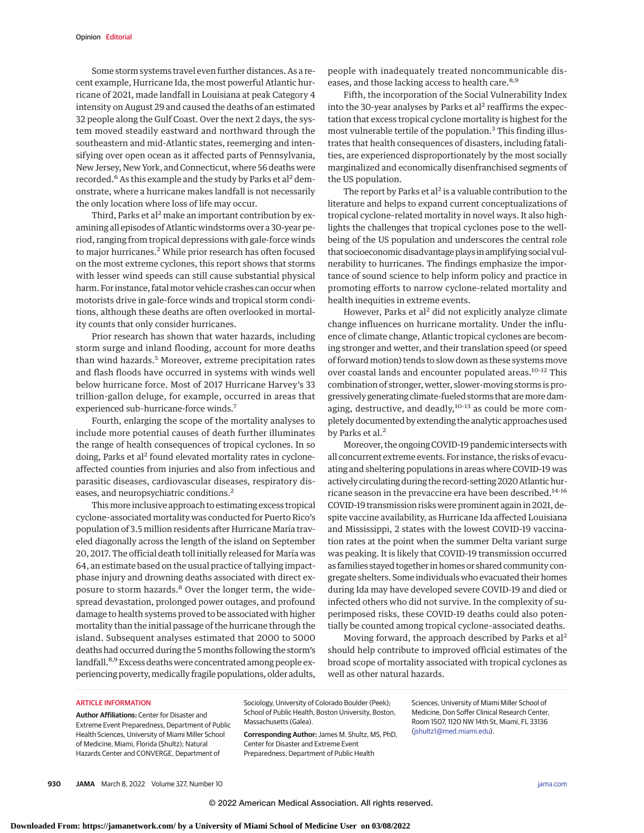Some storm systems travel even further distances. As a recent example, Hurricane Ida, the most powerful Atlantic hurricane of 2021, made landfall in Louisiana at peak Category 4 intensity on August 29 and caused the deaths of an estimated 32 people along the Gulf Coast. Over the next 2 days, the system moved steadily eastward and northward through the southeastern and mid-Atlantic states, reemerging and intensifying over open ocean as it affected parts of Pennsylvania, New Jersey, New York, and Connecticut, where 56 deaths were recorded.<sup>6</sup> As this example and the study by Parks et al<sup>2</sup> demonstrate, where a hurricane makes landfall is not necessarily the only location where loss of life may occur.

Third, Parks et al<sup>2</sup> make an important contribution by examining all episodes of Atlantic windstorms over a 30-year period, ranging from tropical depressions with gale-force winds to major hurricanes.<sup>2</sup> While prior research has often focused on the most extreme cyclones, this report shows that storms with lesser wind speeds can still cause substantial physical harm. For instance, fatal motor vehicle crashes can occur when motorists drive in gale-force winds and tropical storm conditions, although these deaths are often overlooked in mortality counts that only consider hurricanes.

Prior research has shown that water hazards, including storm surge and inland flooding, account for more deaths than wind hazards.<sup>5</sup> Moreover, extreme precipitation rates and flash floods have occurred in systems with winds well below hurricane force. Most of 2017 Hurricane Harvey's 33 trillion-gallon deluge, for example, occurred in areas that experienced sub–hurricane-force winds.7

Fourth, enlarging the scope of the mortality analyses to include more potential causes of death further illuminates the range of health consequences of tropical cyclones. In so doing, Parks et al<sup>2</sup> found elevated mortality rates in cycloneaffected counties from injuries and also from infectious and parasitic diseases, cardiovascular diseases, respiratory diseases, and neuropsychiatric conditions.2

This more inclusive approach to estimating excess tropical cyclone–associated mortality was conducted for Puerto Rico's population of 3.5 million residents after Hurricane María traveled diagonally across the length of the island on September 20, 2017. The official death toll initially released for María was 64, an estimate based on the usual practice of tallying impactphase injury and drowning deaths associated with direct exposure to storm hazards.<sup>8</sup> Over the longer term, the widespread devastation, prolonged power outages, and profound damage to health systems proved to be associated with higher mortality than the initial passage of the hurricane through the island. Subsequent analyses estimated that 2000 to 5000 deaths had occurred during the 5months following the storm's landfall.<sup>8,9</sup> Excess deaths were concentrated among people experiencing poverty, medically fragile populations, older adults, people with inadequately treated noncommunicable diseases, and those lacking access to health care.<sup>8,9</sup>

Fifth, the incorporation of the Social Vulnerability Index into the 30-year analyses by Parks et al<sup>2</sup> reaffirms the expectation that excess tropical cyclone mortality is highest for the most vulnerable tertile of the population.<sup>3</sup> This finding illustrates that health consequences of disasters, including fatalities, are experienced disproportionately by the most socially marginalized and economically disenfranchised segments of the US population.

The report by Parks et  $al^2$  is a valuable contribution to the literature and helps to expand current conceptualizations of tropical cyclone–related mortality in novel ways. It also highlights the challenges that tropical cyclones pose to the wellbeing of the US population and underscores the central role that socioeconomic disadvantage plays in amplifying social vulnerability to hurricanes. The findings emphasize the importance of sound science to help inform policy and practice in promoting efforts to narrow cyclone-related mortality and health inequities in extreme events.

However, Parks et al<sup>2</sup> did not explicitly analyze climate change influences on hurricane mortality. Under the influence of climate change, Atlantic tropical cyclones are becoming stronger and wetter, and their translation speed (or speed of forward motion) tends to slow down as these systems move over coastal lands and encounter populated areas.10-12 This combination of stronger, wetter, slower-moving storms is progressively generating climate-fueled storms that aremore damaging, destructive, and deadly, $10-13$  as could be more completely documented by extending the analytic approaches used by Parks et al.<sup>2</sup>

Moreover, the ongoing COVID-19 pandemic intersects with all concurrent extreme events. For instance, the risks of evacuating and sheltering populations in areas where COVID-19 was actively circulating during the record-setting 2020 Atlantic hurricane season in the prevaccine era have been described.14-16 COVID-19 transmission risks were prominent again in 2021, despite vaccine availability, as Hurricane Ida affected Louisiana and Mississippi, 2 states with the lowest COVID-19 vaccination rates at the point when the summer Delta variant surge was peaking. It is likely that COVID-19 transmission occurred as families stayed together in homes or shared community congregate shelters. Some individuals who evacuated their homes during Ida may have developed severe COVID-19 and died or infected others who did not survive. In the complexity of superimposed risks, these COVID-19 deaths could also potentially be counted among tropical cyclone–associated deaths.

Moving forward, the approach described by Parks et al<sup>2</sup> should help contribute to improved official estimates of the broad scope of mortality associated with tropical cyclones as well as other natural hazards.

#### ARTICLE INFORMATION

**Author Affiliations:** Center for Disaster and Extreme Event Preparedness, Department of Public Health Sciences, University of Miami Miller School of Medicine, Miami, Florida (Shultz); Natural Hazards Center and CONVERGE, Department of

Sociology, University of Colorado Boulder (Peek); School of Public Health, Boston University, Boston, Massachusetts (Galea).

**Corresponding Author:** James M. Shultz, MS, PhD, Center for Disaster and Extreme Event Preparedness, Department of Public Health

Sciences, University of Miami Miller School of Medicine, Don Soffer Clinical Research Center, Room 1507, 1120 NW 14th St, Miami, FL 33136 [\(jshultz1@med.miami.edu\)](mailto:jshultz1@med.miami.edu).

**930 JAMA** March 8, 2022 Volume 327, Number 10 **(Reprinted)** [jama.com](http://www.jama.com?utm_campaign=articlePDF%26utm_medium=articlePDFlink%26utm_source=articlePDF%26utm_content=jama.2022.0069)